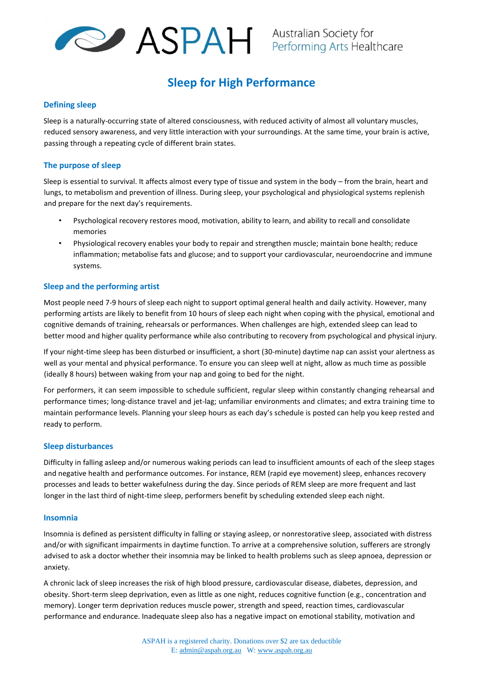

# **Sleep for High Performance**

### **Defining sleep**

Sleep is a naturally-occurring state of altered consciousness, with reduced activity of almost all voluntary muscles, reduced sensory awareness, and very little interaction with your surroundings. At the same time, your brain is active, passing through a repeating cycle of different brain states.

### **The purpose of sleep**

Sleep is essential to survival. It affects almost every type of tissue and system in the body – from the brain, heart and lungs, to metabolism and prevention of illness. During sleep, your psychological and physiological systems replenish and prepare for the next day's requirements.

- Psychological recovery restores mood, motivation, ability to learn, and ability to recall and consolidate memories
- Physiological recovery enables your body to repair and strengthen muscle; maintain bone health; reduce inflammation; metabolise fats and glucose; and to support your cardiovascular, neuroendocrine and immune systems.

### **Sleep and the performing artist**

Most people need 7-9 hours of sleep each night to support optimal general health and daily activity. However, many performing artists are likely to benefit from 10 hours of sleep each night when coping with the physical, emotional and cognitive demands of training, rehearsals or performances. When challenges are high, extended sleep can lead to better mood and higher quality performance while also contributing to recovery from psychological and physical injury.

If your night-time sleep has been disturbed or insufficient, a short (30-minute) daytime nap can assist your alertness as well as your mental and physical performance. To ensure you can sleep well at night, allow as much time as possible (ideally 8 hours) between waking from your nap and going to bed for the night.

For performers, it can seem impossible to schedule sufficient, regular sleep within constantly changing rehearsal and performance times; long-distance travel and jet-lag; unfamiliar environments and climates; and extra training time to maintain performance levels. Planning your sleep hours as each day's schedule is posted can help you keep rested and ready to perform.

### **Sleep disturbances**

Difficulty in falling asleep and/or numerous waking periods can lead to insufficient amounts of each of the sleep stages and negative health and performance outcomes. For instance, REM (rapid eye movement) sleep, enhances recovery processes and leads to better wakefulness during the day. Since periods of REM sleep are more frequent and last longer in the last third of night-time sleep, performers benefit by scheduling extended sleep each night.

### **Insomnia**

Insomnia is defined as persistent difficulty in falling or staying asleep, or nonrestorative sleep, associated with distress and/or with significant impairments in daytime function. To arrive at a comprehensive solution, sufferers are strongly advised to ask a doctor whether their insomnia may be linked to health problems such as sleep apnoea, depression or anxiety.

A chronic lack of sleep increases the risk of high blood pressure, cardiovascular disease, diabetes, depression, and obesity. Short-term sleep deprivation, even as little as one night, reduces cognitive function (e.g., concentration and memory). Longer term deprivation reduces muscle power, strength and speed, reaction times, cardiovascular performance and endurance. Inadequate sleep also has a negative impact on emotional stability, motivation and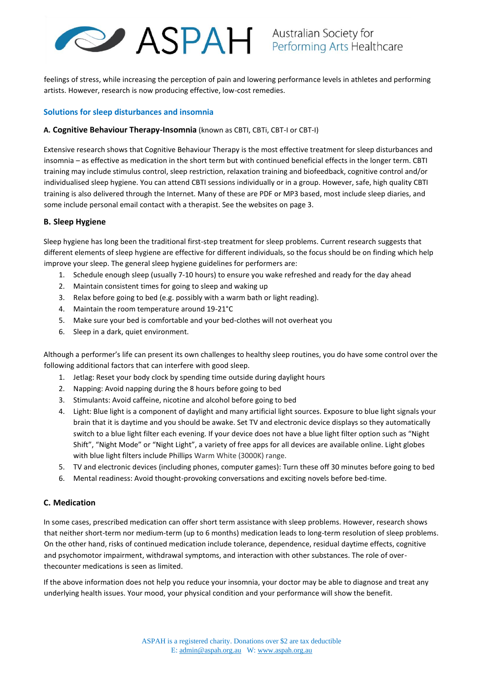# **ASPAH** Australian Society for

feelings of stress, while increasing the perception of pain and lowering performance levels in athletes and performing artists. However, research is now producing effective, low-cost remedies.

## **Solutions for sleep disturbances and insomnia**

## **A. Cognitive Behaviour Therapy-Insomnia** (known as CBTI, CBTi, CBT-I or CBT-I)

Extensive research shows that Cognitive Behaviour Therapy is the most effective treatment for sleep disturbances and insomnia – as effective as medication in the short term but with continued beneficial effects in the longer term. CBTI training may include stimulus control, sleep restriction, relaxation training and biofeedback, cognitive control and/or individualised sleep hygiene. You can attend CBTI sessions individually or in a group. However, safe, high quality CBTI training is also delivered through the Internet. Many of these are PDF or MP3 based, most include sleep diaries, and some include personal email contact with a therapist. See the websites on page 3.

# **B. Sleep Hygiene**

Sleep hygiene has long been the traditional first-step treatment for sleep problems. Current research suggests that different elements of sleep hygiene are effective for different individuals, so the focus should be on finding which help improve your sleep. The general sleep hygiene guidelines for performers are:

- 1. Schedule enough sleep (usually 7-10 hours) to ensure you wake refreshed and ready for the day ahead
- 2. Maintain consistent times for going to sleep and waking up
- 3. Relax before going to bed (e.g. possibly with a warm bath or light reading).
- 4. Maintain the room temperature around 19-21°C
- 5. Make sure your bed is comfortable and your bed-clothes will not overheat you
- 6. Sleep in a dark, quiet environment.

Although a performer's life can present its own challenges to healthy sleep routines, you do have some control over the following additional factors that can interfere with good sleep.

- 1. Jetlag: Reset your body clock by spending time outside during daylight hours
- 2. Napping: Avoid napping during the 8 hours before going to bed
- 3. Stimulants: Avoid caffeine, nicotine and alcohol before going to bed
- 4. Light: Blue light is a component of daylight and many artificial light sources. Exposure to blue light signals your brain that it is daytime and you should be awake. Set TV and electronic device displays so they automatically switch to a blue light filter each evening. If your device does not have a blue light filter option such as "Night Shift", "Night Mode" or "Night Light", a variety of free apps for all devices are available online. Light globes with blue light filters include Phillips Warm White (3000K) range.
- 5. TV and electronic devices (including phones, computer games): Turn these off 30 minutes before going to bed
- 6. Mental readiness: Avoid thought-provoking conversations and exciting novels before bed-time.

### **C. Medication**

In some cases, prescribed medication can offer short term assistance with sleep problems. However, research shows that neither short-term nor medium-term (up to 6 months) medication leads to long-term resolution of sleep problems. On the other hand, risks of continued medication include tolerance, dependence, residual daytime effects, cognitive and psychomotor impairment, withdrawal symptoms, and interaction with other substances. The role of overthecounter medications is seen as limited.

If the above information does not help you reduce your insomnia, your doctor may be able to diagnose and treat any underlying health issues. Your mood, your physical condition and your performance will show the benefit.